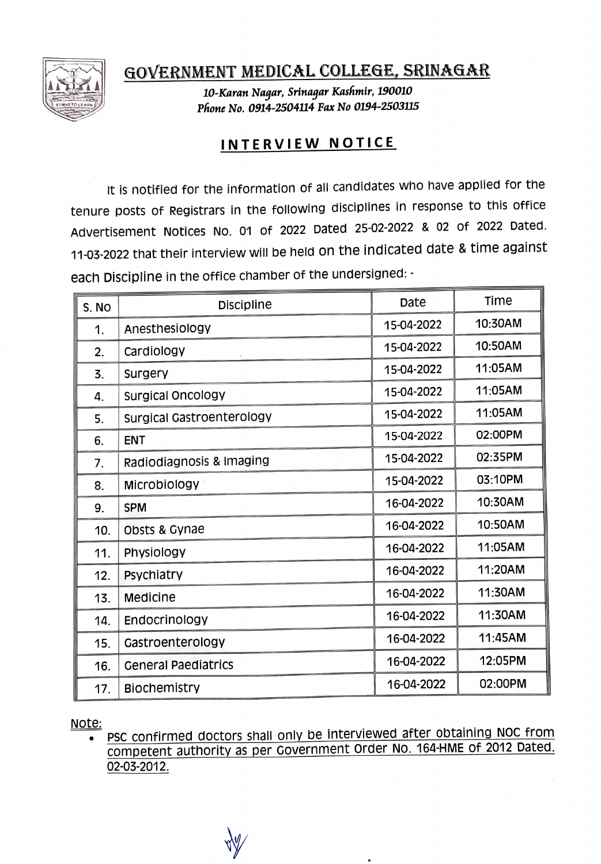

GOVERNMENT MEDICAL COLLEGE, SRINAGAR

10-Karan Naqar, Srinaqar Kashmir, 190010 Phone No. 0914-2504114 Fax No O194-2503115

## INTERVIEW NOTICE

It is notified for the information of all candidates who have applied for the tenure posts of Registrars in the following disciplines in response to this office Advertisement Notices No. 01 of 2022 Dated 25-02-2022 & 02 of 2022 Dated. 11-03-2022 that their interview will be held on the indicated date & time against each Discipline in the office chamber of the undersigned:

| S. NO | <b>Discipline</b>                | Date       | Time    |
|-------|----------------------------------|------------|---------|
| 1.    | Anesthesiology                   | 15-04-2022 | 10:30AM |
| 2.    | Cardiology                       | 15-04-2022 | 10:50AM |
| 3.    | Surgery                          | 15-04-2022 | 11:05AM |
| 4.    | Surgical Oncology                | 15-04-2022 | 11:05AM |
| 5.    | <b>Surgical Gastroenterology</b> | 15-04-2022 | 11:05AM |
| 6.    | <b>ENT</b>                       | 15-04-2022 | 02:00PM |
| 7.    | Radiodiagnosis & Imaging         | 15-04-2022 | 02:35PM |
| 8.    | Microbiology                     | 15-04-2022 | 03:10PM |
| 9.    | <b>SPM</b>                       | 16-04-2022 | 10:30AM |
| 10.   | Obsts & Gynae                    | 16-04-2022 | 10:50AM |
| 11.   | Physiology                       | 16-04-2022 | 11:05AM |
| 12.   | Psychiatry                       | 16-04-2022 | 11:20AM |
| 13.   | Medicine                         | 16-04-2022 | 11:30AM |
| 14.   | Endocrinology                    | 16-04-2022 | 11:30AM |
| 15.   | Gastroenterology                 | 16-04-2022 | 11:45AM |
| 16.   | <b>General Paediatrics</b>       | 16-04-2022 | 12:05PM |
| 17.   | <b>Biochemistry</b>              | 16-04-2022 | 02:00PM |

Note:<br>• PSC confirmed doctors shall only be interviewed after obtaining NOC from Competent authority as per Covernment order No. 164-HME of 2012 Dated. 02-03-2012.